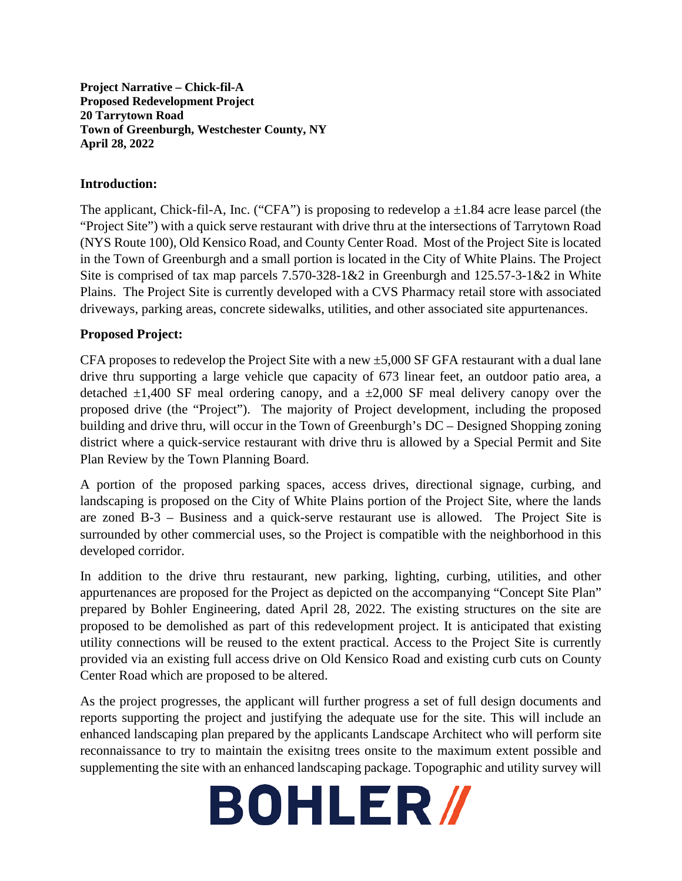**Project Narrative – Chick-fil-A Proposed Redevelopment Project 20 Tarrytown Road Town of Greenburgh, Westchester County, NY April 28, 2022**

## **Introduction:**

The applicant, Chick-fil-A, Inc. ("CFA") is proposing to redevelop a  $\pm 1.84$  acre lease parcel (the "Project Site") with a quick serve restaurant with drive thru at the intersections of Tarrytown Road (NYS Route 100), Old Kensico Road, and County Center Road. Most of the Project Site is located in the Town of Greenburgh and a small portion is located in the City of White Plains. The Project Site is comprised of tax map parcels 7.570-328-1&2 in Greenburgh and 125.57-3-1&2 in White Plains. The Project Site is currently developed with a CVS Pharmacy retail store with associated driveways, parking areas, concrete sidewalks, utilities, and other associated site appurtenances.

## **Proposed Project:**

CFA proposes to redevelop the Project Site with a new  $\pm$ 5,000 SF GFA restaurant with a dual lane drive thru supporting a large vehicle que capacity of 673 linear feet, an outdoor patio area, a detached  $\pm 1,400$  SF meal ordering canopy, and a  $\pm 2,000$  SF meal delivery canopy over the proposed drive (the "Project"). The majority of Project development, including the proposed building and drive thru, will occur in the Town of Greenburgh's DC – Designed Shopping zoning district where a quick-service restaurant with drive thru is allowed by a Special Permit and Site Plan Review by the Town Planning Board.

A portion of the proposed parking spaces, access drives, directional signage, curbing, and landscaping is proposed on the City of White Plains portion of the Project Site, where the lands are zoned B-3 – Business and a quick-serve restaurant use is allowed. The Project Site is surrounded by other commercial uses, so the Project is compatible with the neighborhood in this developed corridor.

In addition to the drive thru restaurant, new parking, lighting, curbing, utilities, and other appurtenances are proposed for the Project as depicted on the accompanying "Concept Site Plan" prepared by Bohler Engineering, dated April 28, 2022. The existing structures on the site are proposed to be demolished as part of this redevelopment project. It is anticipated that existing utility connections will be reused to the extent practical. Access to the Project Site is currently provided via an existing full access drive on Old Kensico Road and existing curb cuts on County Center Road which are proposed to be altered.

As the project progresses, the applicant will further progress a set of full design documents and reports supporting the project and justifying the adequate use for the site. This will include an enhanced landscaping plan prepared by the applicants Landscape Architect who will perform site reconnaissance to try to maintain the exisitng trees onsite to the maximum extent possible and supplementing the site with an enhanced landscaping package. Topographic and utility survey will